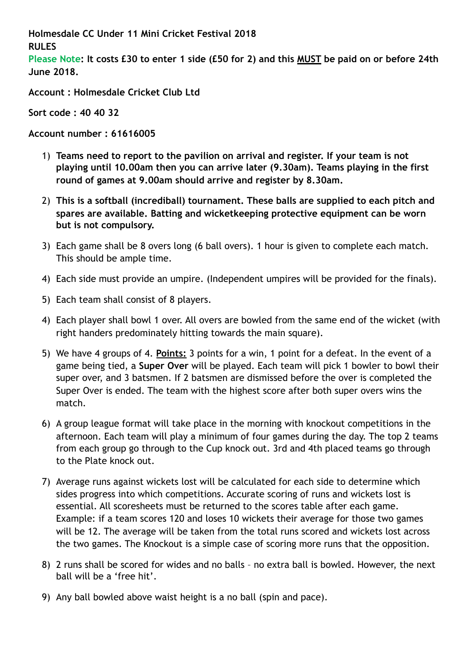**Holmesdale CC Under 11 Mini Cricket Festival 2018 RULES**

**Please Note: It costs £30 to enter 1 side (£50 for 2) and this MUST be paid on or before 24th June 2018.** 

**Account : Holmesdale Cricket Club Ltd** 

**Sort code : 40 40 32** 

**Account number : 61616005** 

- 1) **Teams need to report to the pavilion on arrival and register. If your team is not playing until 10.00am then you can arrive later (9.30am). Teams playing in the first round of games at 9.00am should arrive and register by 8.30am.**
- 2) **This is a softball (incrediball) tournament. These balls are supplied to each pitch and spares are available. Batting and wicketkeeping protective equipment can be worn but is not compulsory.**
- 3) Each game shall be 8 overs long (6 ball overs). 1 hour is given to complete each match. This should be ample time.
- 4) Each side must provide an umpire. (Independent umpires will be provided for the finals).
- 5) Each team shall consist of 8 players.
- 4) Each player shall bowl 1 over. All overs are bowled from the same end of the wicket (with right handers predominately hitting towards the main square).
- 5) We have 4 groups of 4. **Points:** 3 points for a win, 1 point for a defeat. In the event of a game being tied, a **Super Over** will be played. Each team will pick 1 bowler to bowl their super over, and 3 batsmen. If 2 batsmen are dismissed before the over is completed the Super Over is ended. The team with the highest score after both super overs wins the match.
- 6) A group league format will take place in the morning with knockout competitions in the afternoon. Each team will play a minimum of four games during the day. The top 2 teams from each group go through to the Cup knock out. 3rd and 4th placed teams go through to the Plate knock out.
- 7) Average runs against wickets lost will be calculated for each side to determine which sides progress into which competitions. Accurate scoring of runs and wickets lost is essential. All scoresheets must be returned to the scores table after each game. Example: if a team scores 120 and loses 10 wickets their average for those two games will be 12. The average will be taken from the total runs scored and wickets lost across the two games. The Knockout is a simple case of scoring more runs that the opposition.
- 8) 2 runs shall be scored for wides and no balls no extra ball is bowled. However, the next ball will be a 'free hit'.
- 9) Any ball bowled above waist height is a no ball (spin and pace).